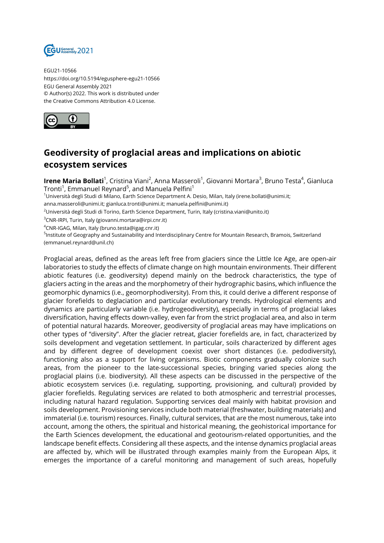

EGU21-10566 https://doi.org/10.5194/egusphere-egu21-10566 EGU General Assembly 2021 © Author(s) 2022. This work is distributed under the Creative Commons Attribution 4.0 License.



## **Geodiversity of proglacial areas and implications on abiotic ecosystem services**

**Irene Maria Bollati**<sup>1</sup>, Cristina Viani<sup>2</sup>, Anna Masseroli<sup>1</sup>, Giovanni Mortara<sup>3</sup>, Bruno Testa<sup>4</sup>, Gianluca Tronti $^1$ , Emmanuel Reynard $^5$ , and Manuela Pelfini $^1$ 

<sup>1</sup>Università degli Studi di Milano, Earth Science Department A. Desio, Milan, Italy (irene.bollati@unimi.it;

anna.masseroli@unimi.it; gianluca.tronti@unimi.it; manuela.pelfini@unimi.it)

<sup>2</sup>Università degli Studi di Torino, Earth Science Department, Turin, Italy (cristina.viani@unito.it)

<sup>3</sup>CNR-IRPI, Turin, Italy (giovanni.mortara@irpi.cnr.it)

 $4$ CNR-IGAG, Milan, Italy (bruno.testa@igag.cnr.it)

<sup>5</sup>lnstitute of Geography and Sustainability and Interdisciplinary Centre for Mountain Research, Bramois, Switzerland (emmanuel.reynard@unil.ch)

Proglacial areas, defined as the areas left free from glaciers since the Little Ice Age, are open-air laboratories to study the effects of climate change on high mountain environments. Their different abiotic features (i.e. geodiversity) depend mainly on the bedrock characteristics, the type of glaciers acting in the areas and the morphometry of their hydrographic basins, which influence the geomorphic dynamics (i.e., geomorphodiversity). From this, it could derive a different response of glacier forefields to deglaciation and particular evolutionary trends. Hydrological elements and dynamics are particularly variable (i.e. hydrogeodiversity), especially in terms of proglacial lakes diversification, having effects down-valley, even far from the strict proglacial area, and also in term of potential natural hazards. Moreover, geodiversity of proglacial areas may have implications on other types of "diversity". After the glacier retreat, glacier forefields are, in fact, characterized by soils development and vegetation settlement. In particular, soils characterized by different ages and by different degree of development coexist over short distances (i.e. pedodiversity), functioning also as a support for living organisms. Biotic components gradually colonize such areas, from the pioneer to the late-successional species, bringing varied species along the proglacial plains (i.e. biodiversity). All these aspects can be discussed in the perspective of the abiotic ecosystem services (i.e. regulating, supporting, provisioning, and cultural) provided by glacier forefields. Regulating services are related to both atmospheric and terrestrial processes, including natural hazard regulation. Supporting services deal mainly with habitat provision and soils development. Provisioning services include both material (freshwater, building materials) and immaterial (i.e. tourism) resources. Finally, cultural services, that are the most numerous, take into account, among the others, the spiritual and historical meaning, the geohistorical importance for the Earth Sciences development, the educational and geotourism-related opportunities, and the landscape benefit effects. Considering all these aspects, and the intense dynamics proglacial areas are affected by, which will be illustrated through examples mainly from the European Alps, it emerges the importance of a careful monitoring and management of such areas, hopefully